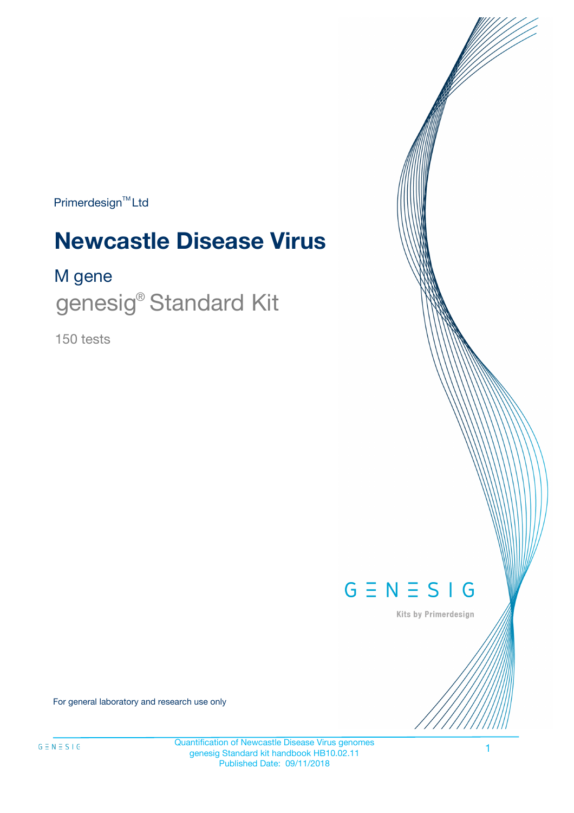Primerdesign<sup>™</sup>Ltd

# **Newcastle Disease Virus**

### M gene

genesig<sup>®</sup> Standard Kit

150 tests



Kits by Primerdesign

For general laboratory and research use only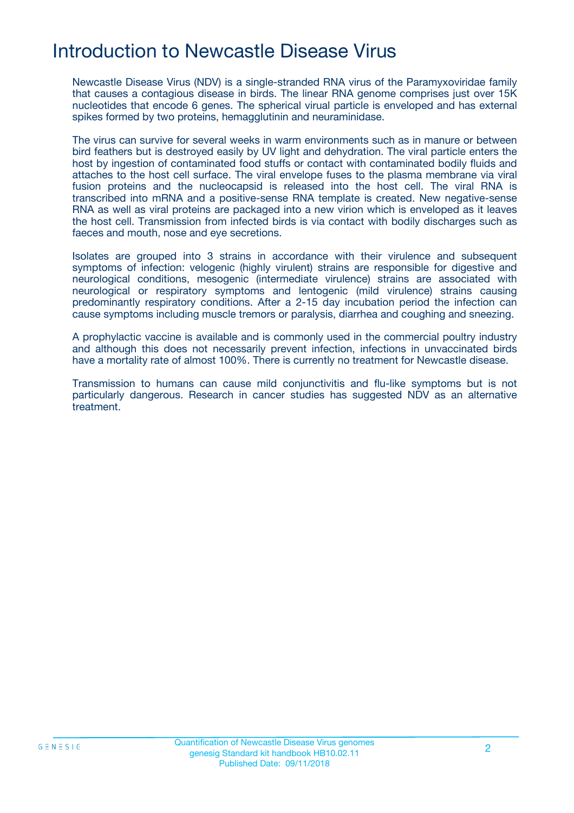## Introduction to Newcastle Disease Virus

Newcastle Disease Virus (NDV) is a single-stranded RNA virus of the Paramyxoviridae family that causes a contagious disease in birds. The linear RNA genome comprises just over 15K nucleotides that encode 6 genes. The spherical virual particle is enveloped and has external spikes formed by two proteins, hemagglutinin and neuraminidase.

The virus can survive for several weeks in warm environments such as in manure or between bird feathers but is destroyed easily by UV light and dehydration. The viral particle enters the host by ingestion of contaminated food stuffs or contact with contaminated bodily fluids and attaches to the host cell surface. The viral envelope fuses to the plasma membrane via viral fusion proteins and the nucleocapsid is released into the host cell. The viral RNA is transcribed into mRNA and a positive-sense RNA template is created. New negative-sense RNA as well as viral proteins are packaged into a new virion which is enveloped as it leaves the host cell. Transmission from infected birds is via contact with bodily discharges such as faeces and mouth, nose and eye secretions.

Isolates are grouped into 3 strains in accordance with their virulence and subsequent symptoms of infection: velogenic (highly virulent) strains are responsible for digestive and neurological conditions, mesogenic (intermediate virulence) strains are associated with neurological or respiratory symptoms and lentogenic (mild virulence) strains causing predominantly respiratory conditions. After a 2-15 day incubation period the infection can cause symptoms including muscle tremors or paralysis, diarrhea and coughing and sneezing.

A prophylactic vaccine is available and is commonly used in the commercial poultry industry and although this does not necessarily prevent infection, infections in unvaccinated birds have a mortality rate of almost 100%. There is currently no treatment for Newcastle disease.

Transmission to humans can cause mild conjunctivitis and flu-like symptoms but is not particularly dangerous. Research in cancer studies has suggested NDV as an alternative treatment.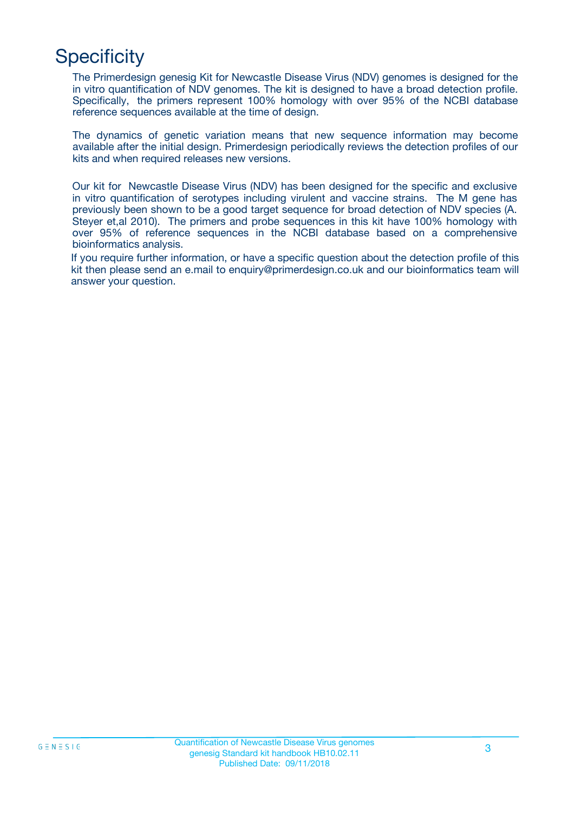## **Specificity**

The Primerdesign genesig Kit for Newcastle Disease Virus (NDV) genomes is designed for the in vitro quantification of NDV genomes. The kit is designed to have a broad detection profile. Specifically, the primers represent 100% homology with over 95% of the NCBI database reference sequences available at the time of design.

The dynamics of genetic variation means that new sequence information may become available after the initial design. Primerdesign periodically reviews the detection profiles of our kits and when required releases new versions.

Our kit for Newcastle Disease Virus (NDV) has been designed for the specific and exclusive in vitro quantification of serotypes including virulent and vaccine strains. The M gene has previously been shown to be a good target sequence for broad detection of NDV species (A. Steyer et,al 2010). The primers and probe sequences in this kit have 100% homology with over 95% of reference sequences in the NCBI database based on a comprehensive bioinformatics analysis.

If you require further information, or have a specific question about the detection profile of this kit then please send an e.mail to enquiry@primerdesign.co.uk and our bioinformatics team will answer your question.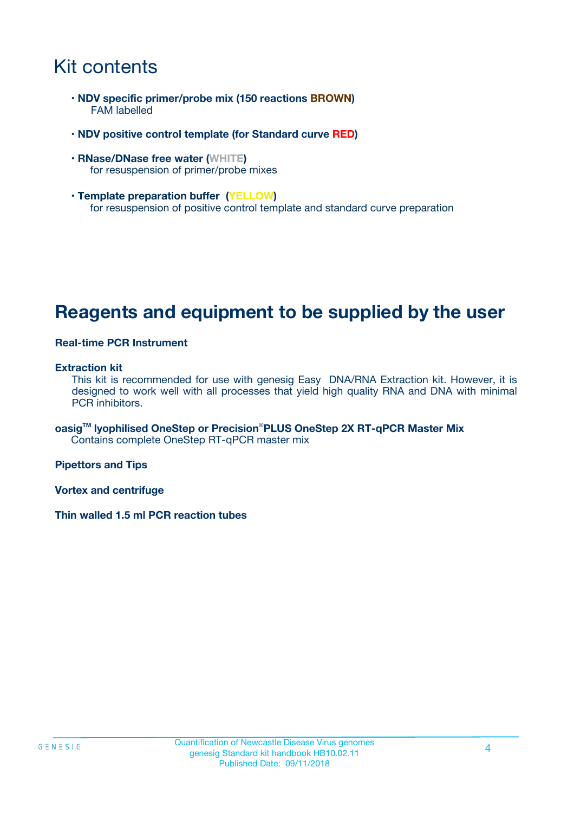## Kit contents

- **NDV specific primer/probe mix (150 reactions BROWN)** FAM labelled
- **NDV positive control template (for Standard curve RED)**
- **RNase/DNase free water (WHITE)** for resuspension of primer/probe mixes
- **Template preparation buffer (YELLOW)** for resuspension of positive control template and standard curve preparation

## **Reagents and equipment to be supplied by the user**

#### **Real-time PCR Instrument**

#### **Extraction kit**

This kit is recommended for use with genesig Easy DNA/RNA Extraction kit. However, it is designed to work well with all processes that yield high quality RNA and DNA with minimal PCR inhibitors.

**oasigTM lyophilised OneStep or Precision**®**PLUS OneStep 2X RT-qPCR Master Mix** Contains complete OneStep RT-qPCR master mix

**Pipettors and Tips**

**Vortex and centrifuge**

**Thin walled 1.5 ml PCR reaction tubes**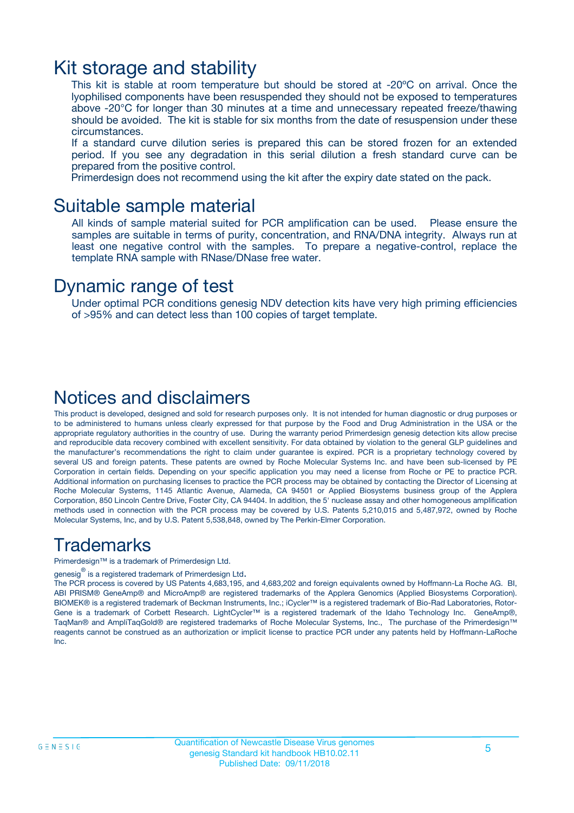### Kit storage and stability

This kit is stable at room temperature but should be stored at -20ºC on arrival. Once the lyophilised components have been resuspended they should not be exposed to temperatures above -20°C for longer than 30 minutes at a time and unnecessary repeated freeze/thawing should be avoided. The kit is stable for six months from the date of resuspension under these circumstances.

If a standard curve dilution series is prepared this can be stored frozen for an extended period. If you see any degradation in this serial dilution a fresh standard curve can be prepared from the positive control.

Primerdesign does not recommend using the kit after the expiry date stated on the pack.

### Suitable sample material

All kinds of sample material suited for PCR amplification can be used. Please ensure the samples are suitable in terms of purity, concentration, and RNA/DNA integrity. Always run at least one negative control with the samples. To prepare a negative-control, replace the template RNA sample with RNase/DNase free water.

### Dynamic range of test

Under optimal PCR conditions genesig NDV detection kits have very high priming efficiencies of >95% and can detect less than 100 copies of target template.

### Notices and disclaimers

This product is developed, designed and sold for research purposes only. It is not intended for human diagnostic or drug purposes or to be administered to humans unless clearly expressed for that purpose by the Food and Drug Administration in the USA or the appropriate regulatory authorities in the country of use. During the warranty period Primerdesign genesig detection kits allow precise and reproducible data recovery combined with excellent sensitivity. For data obtained by violation to the general GLP guidelines and the manufacturer's recommendations the right to claim under guarantee is expired. PCR is a proprietary technology covered by several US and foreign patents. These patents are owned by Roche Molecular Systems Inc. and have been sub-licensed by PE Corporation in certain fields. Depending on your specific application you may need a license from Roche or PE to practice PCR. Additional information on purchasing licenses to practice the PCR process may be obtained by contacting the Director of Licensing at Roche Molecular Systems, 1145 Atlantic Avenue, Alameda, CA 94501 or Applied Biosystems business group of the Applera Corporation, 850 Lincoln Centre Drive, Foster City, CA 94404. In addition, the 5' nuclease assay and other homogeneous amplification methods used in connection with the PCR process may be covered by U.S. Patents 5,210,015 and 5,487,972, owned by Roche Molecular Systems, Inc, and by U.S. Patent 5,538,848, owned by The Perkin-Elmer Corporation.

### Trademarks

Primerdesign™ is a trademark of Primerdesign Ltd.

genesig $^\circledR$  is a registered trademark of Primerdesign Ltd.

The PCR process is covered by US Patents 4,683,195, and 4,683,202 and foreign equivalents owned by Hoffmann-La Roche AG. BI, ABI PRISM® GeneAmp® and MicroAmp® are registered trademarks of the Applera Genomics (Applied Biosystems Corporation). BIOMEK® is a registered trademark of Beckman Instruments, Inc.; iCycler™ is a registered trademark of Bio-Rad Laboratories, Rotor-Gene is a trademark of Corbett Research. LightCycler™ is a registered trademark of the Idaho Technology Inc. GeneAmp®, TaqMan® and AmpliTaqGold® are registered trademarks of Roche Molecular Systems, Inc., The purchase of the Primerdesign™ reagents cannot be construed as an authorization or implicit license to practice PCR under any patents held by Hoffmann-LaRoche Inc.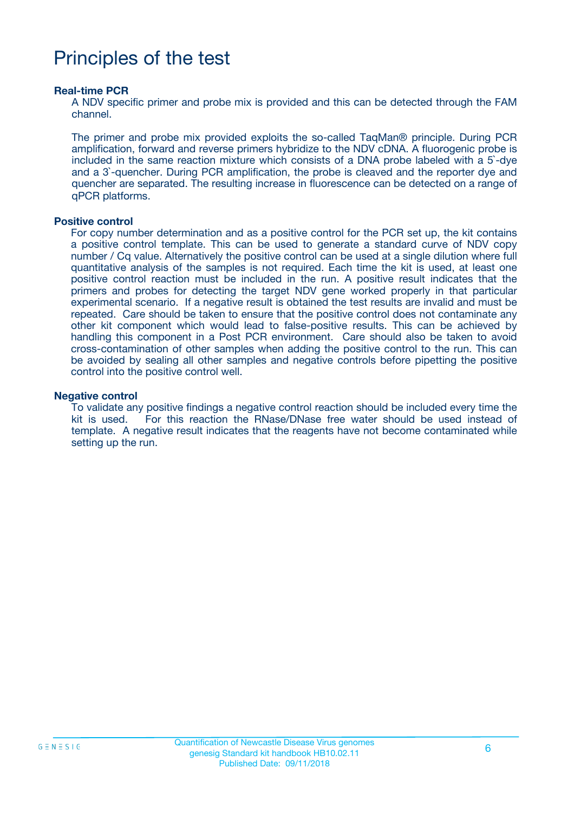## Principles of the test

#### **Real-time PCR**

A NDV specific primer and probe mix is provided and this can be detected through the FAM channel.

The primer and probe mix provided exploits the so-called TaqMan® principle. During PCR amplification, forward and reverse primers hybridize to the NDV cDNA. A fluorogenic probe is included in the same reaction mixture which consists of a DNA probe labeled with a 5`-dye and a 3`-quencher. During PCR amplification, the probe is cleaved and the reporter dye and quencher are separated. The resulting increase in fluorescence can be detected on a range of qPCR platforms.

#### **Positive control**

For copy number determination and as a positive control for the PCR set up, the kit contains a positive control template. This can be used to generate a standard curve of NDV copy number / Cq value. Alternatively the positive control can be used at a single dilution where full quantitative analysis of the samples is not required. Each time the kit is used, at least one positive control reaction must be included in the run. A positive result indicates that the primers and probes for detecting the target NDV gene worked properly in that particular experimental scenario. If a negative result is obtained the test results are invalid and must be repeated. Care should be taken to ensure that the positive control does not contaminate any other kit component which would lead to false-positive results. This can be achieved by handling this component in a Post PCR environment. Care should also be taken to avoid cross-contamination of other samples when adding the positive control to the run. This can be avoided by sealing all other samples and negative controls before pipetting the positive control into the positive control well.

#### **Negative control**

To validate any positive findings a negative control reaction should be included every time the kit is used. For this reaction the RNase/DNase free water should be used instead of template. A negative result indicates that the reagents have not become contaminated while setting up the run.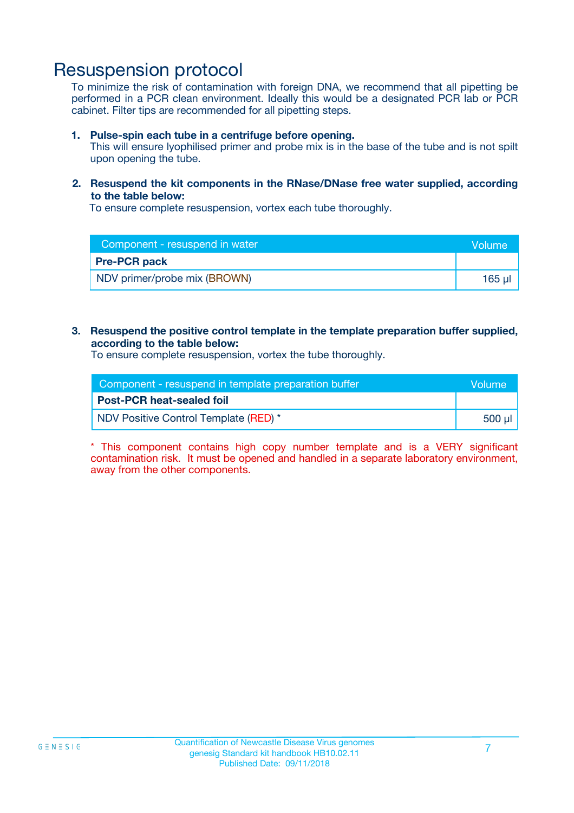### Resuspension protocol

To minimize the risk of contamination with foreign DNA, we recommend that all pipetting be performed in a PCR clean environment. Ideally this would be a designated PCR lab or PCR cabinet. Filter tips are recommended for all pipetting steps.

#### **1. Pulse-spin each tube in a centrifuge before opening.**

This will ensure lyophilised primer and probe mix is in the base of the tube and is not spilt upon opening the tube.

#### **2. Resuspend the kit components in the RNase/DNase free water supplied, according to the table below:**

To ensure complete resuspension, vortex each tube thoroughly.

| Component - resuspend in water | Volume      |
|--------------------------------|-------------|
| <b>Pre-PCR pack</b>            |             |
| NDV primer/probe mix (BROWN)   | $165$ $\mu$ |

#### **3. Resuspend the positive control template in the template preparation buffer supplied, according to the table below:**

To ensure complete resuspension, vortex the tube thoroughly.

| Component - resuspend in template preparation buffer |        |  |
|------------------------------------------------------|--------|--|
| <b>Post-PCR heat-sealed foil</b>                     |        |  |
| NDV Positive Control Template (RED) *                | 500 µl |  |

\* This component contains high copy number template and is a VERY significant contamination risk. It must be opened and handled in a separate laboratory environment, away from the other components.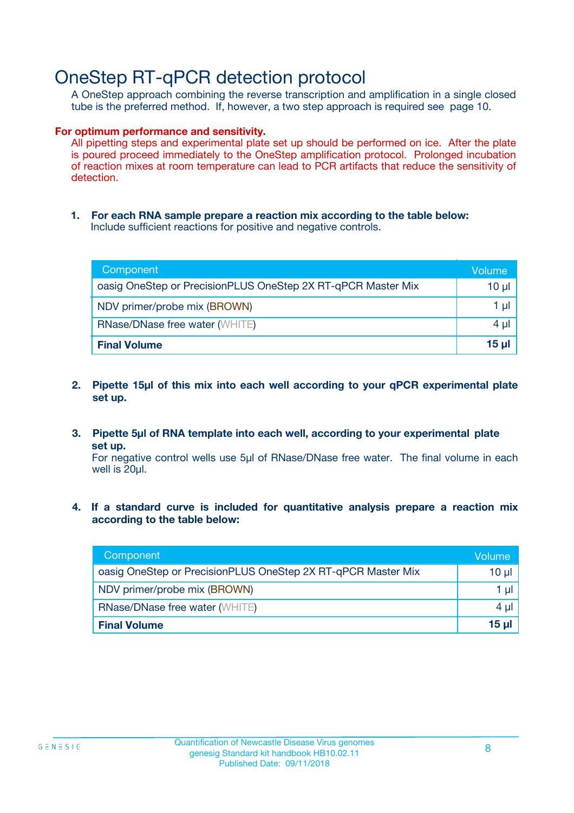## OneStep RT-qPCR detection protocol

A OneStep approach combining the reverse transcription and amplification in a single closed tube is the preferred method. If, however, a two step approach is required see page 10.

#### **For optimum performance and sensitivity.**

All pipetting steps and experimental plate set up should be performed on ice. After the plate is poured proceed immediately to the OneStep amplification protocol. Prolonged incubation of reaction mixes at room temperature can lead to PCR artifacts that reduce the sensitivity of detection.

**1. For each RNA sample prepare a reaction mix according to the table below:** Include sufficient reactions for positive and negative controls.

| Component                                                    | <b>Volume</b> |
|--------------------------------------------------------------|---------------|
| oasig OneStep or PrecisionPLUS OneStep 2X RT-qPCR Master Mix | 10 µl         |
| NDV primer/probe mix (BROWN)                                 | 1 µI          |
| <b>RNase/DNase free water (WHITE)</b>                        | 4 µl          |
| <b>Final Volume</b>                                          | <u>15 µl</u>  |

- **2. Pipette 15µl of this mix into each well according to your qPCR experimental plate set up.**
- **3. Pipette 5µl of RNA template into each well, according to your experimental plate set up.**

For negative control wells use 5µl of RNase/DNase free water. The final volume in each well is 20ul.

**4. If a standard curve is included for quantitative analysis prepare a reaction mix according to the table below:**

| Component                                                    | Volume |
|--------------------------------------------------------------|--------|
| oasig OneStep or PrecisionPLUS OneStep 2X RT-qPCR Master Mix | 10 µl  |
| NDV primer/probe mix (BROWN)                                 | 1 µl   |
| <b>RNase/DNase free water (WHITE)</b>                        | 4 µl   |
| <b>Final Volume</b>                                          | 15 µl  |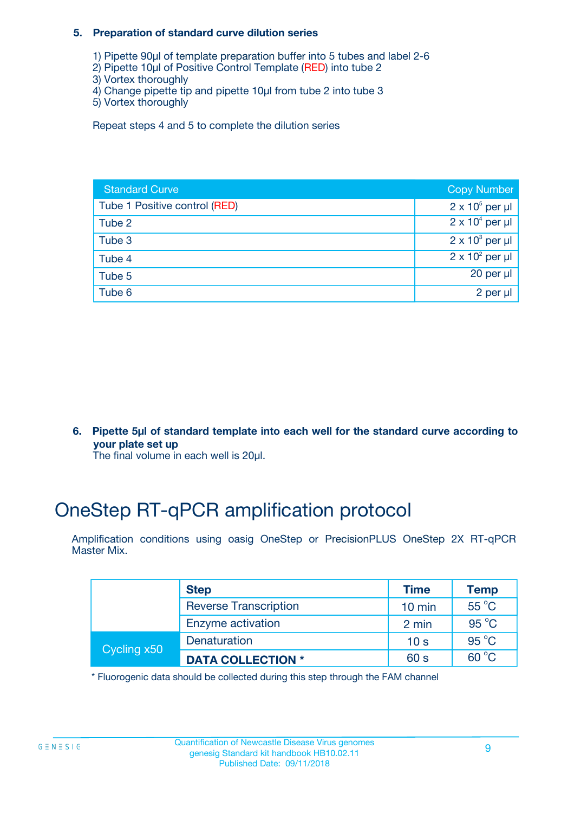#### **5. Preparation of standard curve dilution series**

- 1) Pipette 90µl of template preparation buffer into 5 tubes and label 2-6
- 2) Pipette 10µl of Positive Control Template (RED) into tube 2
- 3) Vortex thoroughly
- 4) Change pipette tip and pipette 10µl from tube 2 into tube 3
- 5) Vortex thoroughly

Repeat steps 4 and 5 to complete the dilution series

| <b>Standard Curve</b>         | <b>Copy Number</b>     |
|-------------------------------|------------------------|
| Tube 1 Positive control (RED) | $2 \times 10^5$ per µl |
| Tube 2                        | $2 \times 10^4$ per µl |
| Tube 3                        | $2 \times 10^3$ per µl |
| Tube 4                        | $2 \times 10^2$ per µl |
| Tube 5                        | 20 per $\mu$           |
| Tube 6                        | 2 per µl               |

**6. Pipette 5µl of standard template into each well for the standard curve according to your plate set up**

The final volume in each well is 20ul.

## OneStep RT-qPCR amplification protocol

Amplification conditions using oasig OneStep or PrecisionPLUS OneStep 2X RT-qPCR Master Mix.

|             | <b>Step</b>                  | <b>Time</b>      | <b>Temp</b>    |
|-------------|------------------------------|------------------|----------------|
|             | <b>Reverse Transcription</b> | $10 \text{ min}$ | 55 °C          |
|             | Enzyme activation            | 2 min            | $95^{\circ}$ C |
| Cycling x50 | Denaturation                 | 10 <sub>s</sub>  | $95^{\circ}$ C |
|             | <b>DATA COLLECTION *</b>     | 60 s             | $60^{\circ}$ C |

\* Fluorogenic data should be collected during this step through the FAM channel